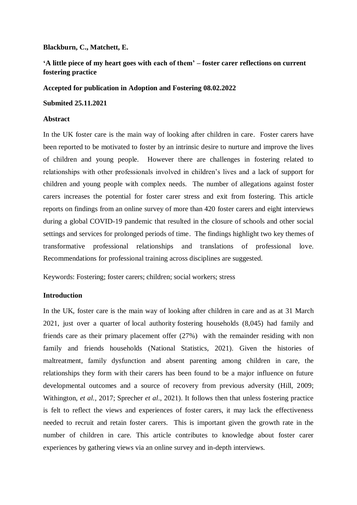**Blackburn, C., Matchett, E.**

# **'A little piece of my heart goes with each of them' – foster carer reflections on current fostering practice**

## **Accepted for publication in Adoption and Fostering 08.02.2022**

## **Submited 25.11.2021**

## **Abstract**

In the UK foster care is the main way of looking after children in care. Foster carers have been reported to be motivated to foster by an intrinsic desire to nurture and improve the lives of children and young people. However there are challenges in fostering related to relationships with other professionals involved in children's lives and a lack of support for children and young people with complex needs. The number of allegations against foster carers increases the potential for foster carer stress and exit from fostering. This article reports on findings from an online survey of more than 420 foster carers and eight interviews during a global COVID-19 pandemic that resulted in the closure of schools and other social settings and services for prolonged periods of time. The findings highlight two key themes of transformative professional relationships and translations of professional love. Recommendations for professional training across disciplines are suggested.

Keywords: Fostering; foster carers; children; social workers; stress

# **Introduction**

In the UK, foster care is the main way of looking after children in care and as at 31 March 2021, just over a quarter of local authority fostering households (8,045) had family and friends care as their primary placement offer (27%) with the remainder residing with non family and friends households (National Statistics, 2021). Given the histories of maltreatment, family dysfunction and absent parenting among children in care, the relationships they form with their carers has been found to be a major influence on future developmental outcomes and a source of recovery from previous adversity (Hill, 2009; Withington, *et al.,* 2017; Sprecher *et al*., 2021). It follows then that unless fostering practice is felt to reflect the views and experiences of foster carers, it may lack the effectiveness needed to recruit and retain foster carers. This is important given the growth rate in the number of children in care. This article contributes to knowledge about foster carer experiences by gathering views via an online survey and in-depth interviews.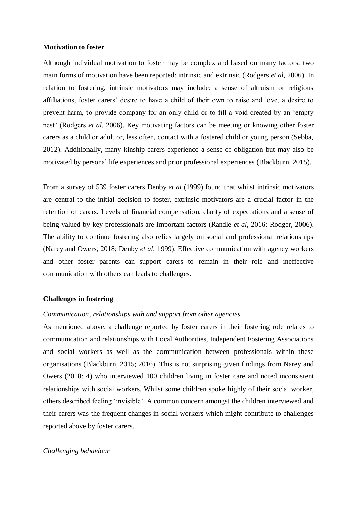#### **Motivation to foster**

Although individual motivation to foster may be complex and based on many factors, two main forms of motivation have been reported: intrinsic and extrinsic (Rodgers *et al*, 2006). In relation to fostering, intrinsic motivators may include: a sense of altruism or religious affiliations, foster carers' desire to have a child of their own to raise and love, a desire to prevent harm, to provide company for an only child or to fill a void created by an 'empty nest' (Rodgers *et al*, 2006). Key motivating factors can be meeting or knowing other foster carers as a child or adult or, less often, contact with a fostered child or young person (Sebba, 2012). Additionally, many kinship carers experience a sense of obligation but may also be motivated by personal life experiences and prior professional experiences (Blackburn, 2015).

From a survey of 539 foster carers Denby *et al* (1999) found that whilst intrinsic motivators are central to the initial decision to foster, extrinsic motivators are a crucial factor in the retention of carers. Levels of financial compensation, clarity of expectations and a sense of being valued by key professionals are important factors (Randle *et al*, 2016; Rodger, 2006). The ability to continue fostering also relies largely on social and professional relationships (Narey and Owers, 2018; Denby *et al,* 1999). Effective communication with agency workers and other foster parents can support carers to remain in their role and ineffective communication with others can leads to challenges.

## **Challenges in fostering**

### *Communication, relationships with and support from other agencies*

As mentioned above, a challenge reported by foster carers in their fostering role relates to communication and relationships with Local Authorities, Independent Fostering Associations and social workers as well as the communication between professionals within these organisations (Blackburn, 2015; 2016). This is not surprising given findings from Narey and Owers (2018: 4) who interviewed 100 children living in foster care and noted inconsistent relationships with social workers. Whilst some children spoke highly of their social worker, others described feeling 'invisible'. A common concern amongst the children interviewed and their carers was the frequent changes in social workers which might contribute to challenges reported above by foster carers.

#### *Challenging behaviour*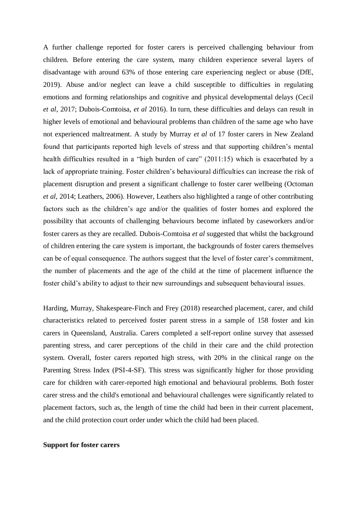A further challenge reported for foster carers is perceived challenging behaviour from children. Before entering the care system, many children experience several layers of disadvantage with around 63% of those entering care experiencing neglect or abuse (DfE, 2019). Abuse and/or neglect can leave a child susceptible to difficulties in regulating emotions and forming relationships and cognitive and physical developmental delays (Cecil *et al*, 2017; Dubois-Comtoisa, *et al* 2016). In turn, these difficulties and delays can result in higher levels of emotional and behavioural problems than children of the same age who have not experienced maltreatment. A study by Murray *et al* of 17 foster carers in New Zealand found that participants reported high levels of stress and that supporting children's mental health difficulties resulted in a "high burden of care" (2011:15) which is exacerbated by a lack of appropriate training. Foster children's behavioural difficulties can increase the risk of placement disruption and present a significant challenge to foster carer wellbeing (Octoman *et al*, 2014; Leathers, 2006). However, Leathers also highlighted a range of other contributing factors such as the children's age and/or the qualities of foster homes and explored the possibility that accounts of challenging behaviours become inflated by caseworkers and/or foster carers as they are recalled. Dubois-Comtoisa *et al* suggested that whilst the background of children entering the care system is important, the backgrounds of foster carers themselves can be of equal consequence. The authors suggest that the level of foster carer's commitment, the number of placements and the age of the child at the time of placement influence the foster child's ability to adjust to their new surroundings and subsequent behavioural issues.

Harding, Murray, Shakespeare-Finch and Frey (2018) researched placement, carer, and child characteristics related to perceived foster parent stress in a sample of 158 foster and kin carers in Queensland, Australia. Carers completed a self-report online survey that assessed parenting stress, and carer perceptions of the child in their care and the child protection system. Overall, foster carers reported high stress, with 20% in the clinical range on the Parenting Stress Index (PSI-4-SF). This stress was significantly higher for those providing care for children with carer-reported high emotional and behavioural problems. Both foster carer stress and the child's emotional and behavioural challenges were significantly related to placement factors, such as, the length of time the child had been in their current placement, and the child protection court order under which the child had been placed.

## **Support for foster carers**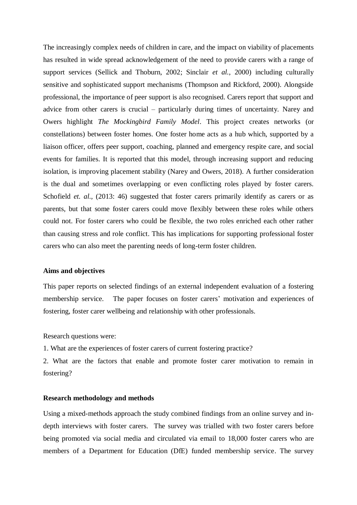The increasingly complex needs of children in care, and the impact on viability of placements has resulted in wide spread acknowledgement of the need to provide carers with a range of support services (Sellick and Thoburn, 2002; Sinclair *et al.,* 2000) including culturally sensitive and sophisticated support mechanisms (Thompson and Rickford, 2000). Alongside professional, the importance of peer support is also recognised. Carers report that support and advice from other carers is crucial – particularly during times of uncertainty. Narey and Owers highlight *The Mockingbird Family Model*. This project creates networks (or constellations) between foster homes. One foster home acts as a hub which, supported by a liaison officer, offers peer support, coaching, planned and emergency respite care, and social events for families. It is reported that this model, through increasing support and reducing isolation, is improving placement stability (Narey and Owers, 2018). A further consideration is the dual and sometimes overlapping or even conflicting roles played by foster carers. Schofield *et. al.*, (2013: 46) suggested that foster carers primarily identify as carers or as parents, but that some foster carers could move flexibly between these roles while others could not. For foster carers who could be flexible, the two roles enriched each other rather than causing stress and role conflict. This has implications for supporting professional foster carers who can also meet the parenting needs of long-term foster children.

#### **Aims and objectives**

This paper reports on selected findings of an external independent evaluation of a fostering membership service. The paper focuses on foster carers' motivation and experiences of fostering, foster carer wellbeing and relationship with other professionals.

Research questions were:

1. What are the experiences of foster carers of current fostering practice?

2. What are the factors that enable and promote foster carer motivation to remain in fostering?

## **Research methodology and methods**

Using a mixed-methods approach the study combined findings from an online survey and indepth interviews with foster carers. The survey was trialled with two foster carers before being promoted via social media and circulated via email to 18,000 foster carers who are members of a Department for Education (DfE) funded membership service. The survey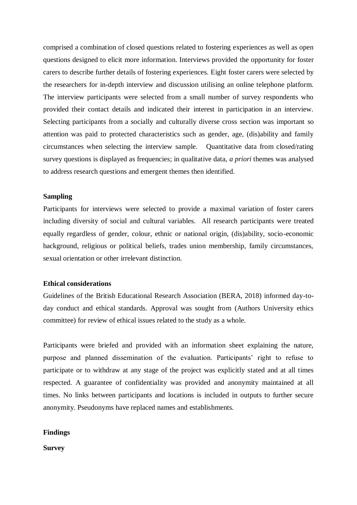comprised a combination of closed questions related to fostering experiences as well as open questions designed to elicit more information. Interviews provided the opportunity for foster carers to describe further details of fostering experiences. Eight foster carers were selected by the researchers for in-depth interview and discussion utilising an online telephone platform. The interview participants were selected from a small number of survey respondents who provided their contact details and indicated their interest in participation in an interview. Selecting participants from a socially and culturally diverse cross section was important so attention was paid to protected characteristics such as gender, age, (dis)ability and family circumstances when selecting the interview sample. Quantitative data from closed/rating survey questions is displayed as frequencies; in qualitative data, *a priori* themes was analysed to address research questions and emergent themes then identified.

## **Sampling**

Participants for interviews were selected to provide a maximal variation of foster carers including diversity of social and cultural variables. All research participants were treated equally regardless of gender, colour, ethnic or national origin, (dis)ability, socio-economic background, religious or political beliefs, trades union membership, family circumstances, sexual orientation or other irrelevant distinction.

### **Ethical considerations**

Guidelines of the British Educational Research Association (BERA, 2018) informed day-today conduct and ethical standards. Approval was sought from (Authors University ethics committee) for review of ethical issues related to the study as a whole.

Participants were briefed and provided with an information sheet explaining the nature, purpose and planned dissemination of the evaluation. Participants' right to refuse to participate or to withdraw at any stage of the project was explicitly stated and at all times respected. A guarantee of confidentiality was provided and anonymity maintained at all times. No links between participants and locations is included in outputs to further secure anonymity. Pseudonyms have replaced names and establishments.

## **Findings**

**Survey**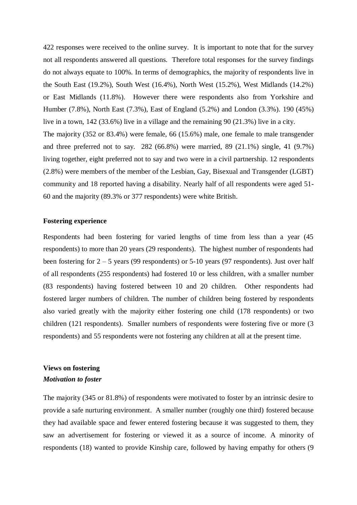422 responses were received to the online survey. It is important to note that for the survey not all respondents answered all questions. Therefore total responses for the survey findings do not always equate to 100%. In terms of demographics, the majority of respondents live in the South East (19.2%), South West (16.4%), North West (15.2%), West Midlands (14.2%) or East Midlands (11.8%). However there were respondents also from Yorkshire and Humber (7.8%), North East (7.3%), East of England (5.2%) and London (3.3%). 190 (45%) live in a town, 142 (33.6%) live in a village and the remaining 90 (21.3%) live in a city. The majority (352 or 83.4%) were female, 66 (15.6%) male, one female to male transgender and three preferred not to say.  $282 (66.8%)$  were married,  $89 (21.1%)$  single,  $41 (9.7%)$ living together, eight preferred not to say and two were in a civil partnership. 12 respondents (2.8%) were members of the member of the Lesbian, Gay, Bisexual and Transgender (LGBT) community and 18 reported having a disability. Nearly half of all respondents were aged 51- 60 and the majority (89.3% or 377 respondents) were white British.

## **Fostering experience**

Respondents had been fostering for varied lengths of time from less than a year (45 respondents) to more than 20 years (29 respondents). The highest number of respondents had been fostering for  $2 - 5$  years (99 respondents) or  $5-10$  years (97 respondents). Just over half of all respondents (255 respondents) had fostered 10 or less children, with a smaller number (83 respondents) having fostered between 10 and 20 children. Other respondents had fostered larger numbers of children. The number of children being fostered by respondents also varied greatly with the majority either fostering one child (178 respondents) or two children (121 respondents). Smaller numbers of respondents were fostering five or more (3 respondents) and 55 respondents were not fostering any children at all at the present time.

# **Views on fostering** *Motivation to foster*

The majority (345 or 81.8%) of respondents were motivated to foster by an intrinsic desire to provide a safe nurturing environment. A smaller number (roughly one third) fostered because they had available space and fewer entered fostering because it was suggested to them, they saw an advertisement for fostering or viewed it as a source of income. A minority of respondents (18) wanted to provide Kinship care, followed by having empathy for others (9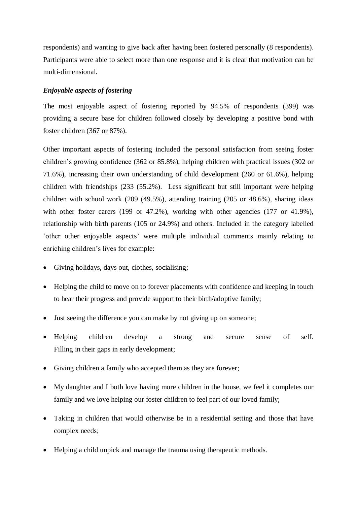respondents) and wanting to give back after having been fostered personally (8 respondents). Participants were able to select more than one response and it is clear that motivation can be multi-dimensional.

## *Enjoyable aspects of fostering*

The most enjoyable aspect of fostering reported by 94.5% of respondents (399) was providing a secure base for children followed closely by developing a positive bond with foster children (367 or 87%).

Other important aspects of fostering included the personal satisfaction from seeing foster children's growing confidence (362 or 85.8%), helping children with practical issues (302 or 71.6%), increasing their own understanding of child development (260 or 61.6%), helping children with friendships (233 (55.2%). Less significant but still important were helping children with school work (209 (49.5%), attending training (205 or 48.6%), sharing ideas with other foster carers (199 or 47.2%), working with other agencies (177 or 41.9%), relationship with birth parents (105 or 24.9%) and others. Included in the category labelled 'other other enjoyable aspects' were multiple individual comments mainly relating to enriching children's lives for example:

- Giving holidays, days out, clothes, socialising;
- Helping the child to move on to forever placements with confidence and keeping in touch to hear their progress and provide support to their birth/adoptive family;
- Just seeing the difference you can make by not giving up on someone;
- Helping children develop a strong and secure sense of self. Filling in their gaps in early development;
- Giving children a family who accepted them as they are forever;
- My daughter and I both love having more children in the house, we feel it completes our family and we love helping our foster children to feel part of our loved family;
- Taking in children that would otherwise be in a residential setting and those that have complex needs;
- Helping a child unpick and manage the trauma using therapeutic methods.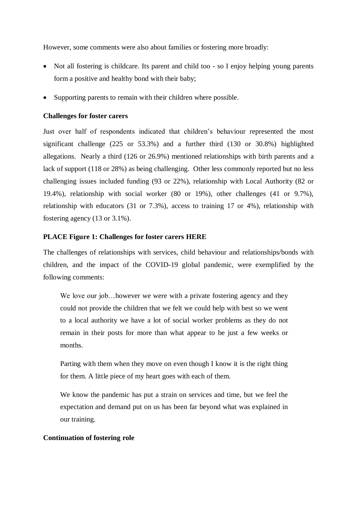However, some comments were also about families or fostering more broadly:

- Not all fostering is childcare. Its parent and child too so I enjoy helping young parents form a positive and healthy bond with their baby;
- Supporting parents to remain with their children where possible.

## **Challenges for foster carers**

Just over half of respondents indicated that children's behaviour represented the most significant challenge (225 or 53.3%) and a further third (130 or 30.8%) highlighted allegations. Nearly a third (126 or 26.9%) mentioned relationships with birth parents and a lack of support (118 or 28%) as being challenging. Other less commonly reported but no less challenging issues included funding (93 or 22%), relationship with Local Authority (82 or 19.4%), relationship with social worker (80 or 19%), other challenges (41 or 9.7%), relationship with educators (31 or 7.3%), access to training 17 or 4%), relationship with fostering agency (13 or 3.1%).

## **PLACE Figure 1: Challenges for foster carers HERE**

The challenges of relationships with services, child behaviour and relationships/bonds with children, and the impact of the COVID-19 global pandemic, were exemplified by the following comments:

We love our job...however we were with a private fostering agency and they could not provide the children that we felt we could help with best so we went to a local authority we have a lot of social worker problems as they do not remain in their posts for more than what appear to be just a few weeks or months.

Parting with them when they move on even though I know it is the right thing for them. A little piece of my heart goes with each of them.

We know the pandemic has put a strain on services and time, but we feel the expectation and demand put on us has been far beyond what was explained in our training.

## **Continuation of fostering role**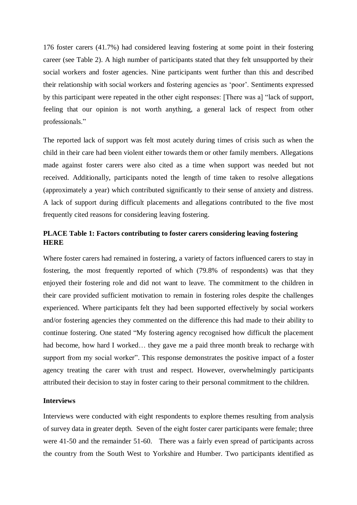176 foster carers (41.7%) had considered leaving fostering at some point in their fostering career (see Table 2). A high number of participants stated that they felt unsupported by their social workers and foster agencies. Nine participants went further than this and described their relationship with social workers and fostering agencies as 'poor'. Sentiments expressed by this participant were repeated in the other eight responses: [There was a] "lack of support, feeling that our opinion is not worth anything, a general lack of respect from other professionals."

The reported lack of support was felt most acutely during times of crisis such as when the child in their care had been violent either towards them or other family members. Allegations made against foster carers were also cited as a time when support was needed but not received. Additionally, participants noted the length of time taken to resolve allegations (approximately a year) which contributed significantly to their sense of anxiety and distress. A lack of support during difficult placements and allegations contributed to the five most frequently cited reasons for considering leaving fostering.

# **PLACE Table 1: Factors contributing to foster carers considering leaving fostering HERE**

Where foster carers had remained in fostering, a variety of factors influenced carers to stay in fostering, the most frequently reported of which (79.8% of respondents) was that they enjoyed their fostering role and did not want to leave. The commitment to the children in their care provided sufficient motivation to remain in fostering roles despite the challenges experienced. Where participants felt they had been supported effectively by social workers and/or fostering agencies they commented on the difference this had made to their ability to continue fostering. One stated "My fostering agency recognised how difficult the placement had become, how hard I worked... they gave me a paid three month break to recharge with support from my social worker". This response demonstrates the positive impact of a foster agency treating the carer with trust and respect. However, overwhelmingly participants attributed their decision to stay in foster caring to their personal commitment to the children.

## **Interviews**

Interviews were conducted with eight respondents to explore themes resulting from analysis of survey data in greater depth. Seven of the eight foster carer participants were female; three were 41-50 and the remainder 51-60. There was a fairly even spread of participants across the country from the South West to Yorkshire and Humber. Two participants identified as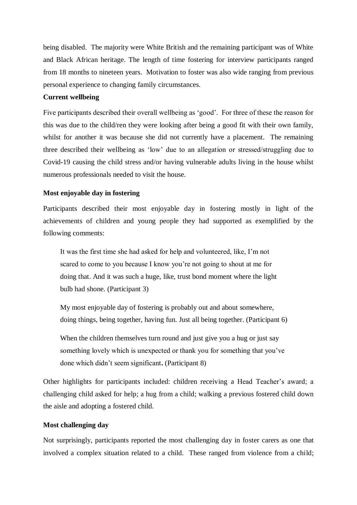being disabled. The majority were White British and the remaining participant was of White and Black African heritage. The length of time fostering for interview participants ranged from 18 months to nineteen years. Motivation to foster was also wide ranging from previous personal experience to changing family circumstances.

## **Current wellbeing**

Five participants described their overall wellbeing as 'good'. For three of these the reason for this was due to the child/ren they were looking after being a good fit with their own family, whilst for another it was because she did not currently have a placement. The remaining three described their wellbeing as 'low' due to an allegation or stressed/struggling due to Covid-19 causing the child stress and/or having vulnerable adults living in the house whilst numerous professionals needed to visit the house.

## **Most enjoyable day in fostering**

Participants described their most enjoyable day in fostering mostly in light of the achievements of children and young people they had supported as exemplified by the following comments:

It was the first time she had asked for help and volunteered, like, I'm not scared to come to you because I know you're not going to shout at me for doing that. And it was such a huge, like, trust bond moment where the light bulb had shone. (Participant 3)

My most enjoyable day of fostering is probably out and about somewhere, doing things, being together, having fun. Just all being together. (Participant 6)

When the children themselves turn round and just give you a hug or just say something lovely which is unexpected or thank you for something that you've done which didn't seem significant**.** (Participant 8)

Other highlights for participants included: children receiving a Head Teacher's award; a challenging child asked for help; a hug from a child; walking a previous fostered child down the aisle and adopting a fostered child.

## **Most challenging day**

Not surprisingly, participants reported the most challenging day in foster carers as one that involved a complex situation related to a child. These ranged from violence from a child;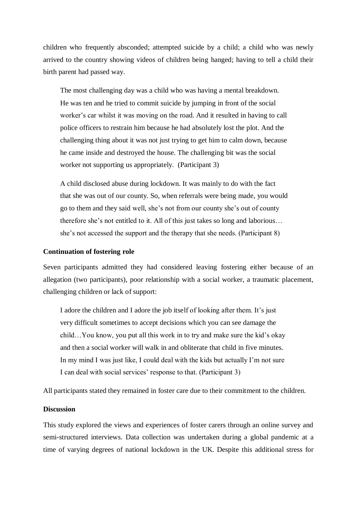children who frequently absconded; attempted suicide by a child; a child who was newly arrived to the country showing videos of children being hanged; having to tell a child their birth parent had passed way.

The most challenging day was a child who was having a mental breakdown. He was ten and he tried to commit suicide by jumping in front of the social worker's car whilst it was moving on the road. And it resulted in having to call police officers to restrain him because he had absolutely lost the plot. And the challenging thing about it was not just trying to get him to calm down, because he came inside and destroyed the house. The challenging bit was the social worker not supporting us appropriately. (Participant 3)

A child disclosed abuse during lockdown. It was mainly to do with the fact that she was out of our county. So, when referrals were being made, you would go to them and they said well, she's not from our county she's out of county therefore she's not entitled to it. All of this just takes so long and laborious… she's not accessed the support and the therapy that she needs. (Participant 8)

## **Continuation of fostering role**

Seven participants admitted they had considered leaving fostering either because of an allegation (two participants), poor relationship with a social worker, a traumatic placement, challenging children or lack of support:

I adore the children and I adore the job itself of looking after them. It's just very difficult sometimes to accept decisions which you can see damage the child…You know, you put all this work in to try and make sure the kid's okay and then a social worker will walk in and obliterate that child in five minutes. In my mind I was just like, I could deal with the kids but actually I'm not sure I can deal with social services' response to that. (Participant 3)

All participants stated they remained in foster care due to their commitment to the children.

## **Discussion**

This study explored the views and experiences of foster carers through an online survey and semi-structured interviews. Data collection was undertaken during a global pandemic at a time of varying degrees of national lockdown in the UK. Despite this additional stress for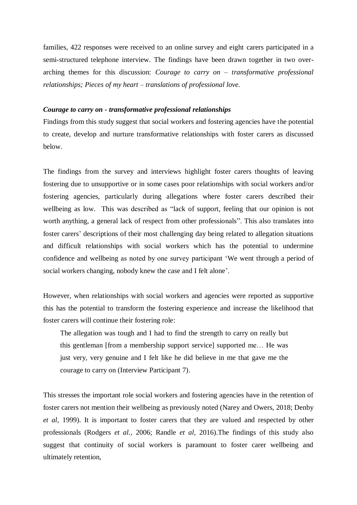families, 422 responses were received to an online survey and eight carers participated in a semi-structured telephone interview. The findings have been drawn together in two overarching themes for this discussion: *Courage to carry on – transformative professional relationships; Pieces of my heart – translations of professional love.*

### *Courage to carry on - transformative professional relationships*

Findings from this study suggest that social workers and fostering agencies have the potential to create, develop and nurture transformative relationships with foster carers as discussed below.

The findings from the survey and interviews highlight foster carers thoughts of leaving fostering due to unsupportive or in some cases poor relationships with social workers and/or fostering agencies, particularly during allegations where foster carers described their wellbeing as low. This was described as "lack of support, feeling that our opinion is not worth anything, a general lack of respect from other professionals". This also translates into foster carers' descriptions of their most challenging day being related to allegation situations and difficult relationships with social workers which has the potential to undermine confidence and wellbeing as noted by one survey participant 'We went through a period of social workers changing, nobody knew the case and I felt alone'.

However, when relationships with social workers and agencies were reported as supportive this has the potential to transform the fostering experience and increase the likelihood that foster carers will continue their fostering role:

The allegation was tough and I had to find the strength to carry on really but this gentleman [from a membership support service] supported me… He was just very, very genuine and I felt like he did believe in me that gave me the courage to carry on (Interview Participant 7).

This stresses the important role social workers and fostering agencies have in the retention of foster carers not mention their wellbeing as previously noted (Narey and Owers, 2018; Denby *et al,* 1999). It is important to foster carers that they are valued and respected by other professionals (Rodgers *et al.*, 2006; Randle *et al,* 2016).The findings of this study also suggest that continuity of social workers is paramount to foster carer wellbeing and ultimately retention,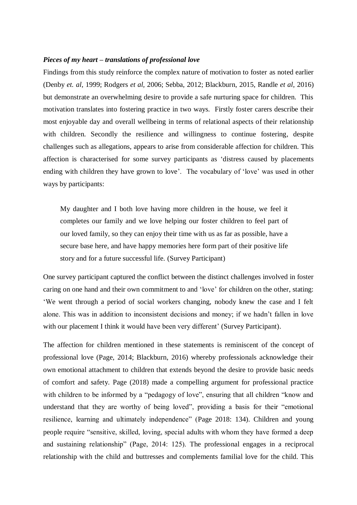## *Pieces of my heart – translations of professional love*

Findings from this study reinforce the complex nature of motivation to foster as noted earlier (Denby *et. al*, 1999; Rodgers *et al,* 2006; Sebba, 2012; Blackburn, 2015, Randle *et al*, 2016) but demonstrate an overwhelming desire to provide a safe nurturing space for children. This motivation translates into fostering practice in two ways. Firstly foster carers describe their most enjoyable day and overall wellbeing in terms of relational aspects of their relationship with children. Secondly the resilience and willingness to continue fostering, despite challenges such as allegations, appears to arise from considerable affection for children. This affection is characterised for some survey participants as 'distress caused by placements ending with children they have grown to love'. The vocabulary of 'love' was used in other ways by participants:

My daughter and I both love having more children in the house, we feel it completes our family and we love helping our foster children to feel part of our loved family, so they can enjoy their time with us as far as possible, have a secure base here, and have happy memories here form part of their positive life story and for a future successful life. (Survey Participant)

One survey participant captured the conflict between the distinct challenges involved in foster caring on one hand and their own commitment to and 'love' for children on the other, stating: 'We went through a period of social workers changing, nobody knew the case and I felt alone. This was in addition to inconsistent decisions and money; if we hadn't fallen in love with our placement I think it would have been very different' (Survey Participant).

The affection for children mentioned in these statements is reminiscent of the concept of professional love (Page, 2014; Blackburn, 2016) whereby professionals acknowledge their own emotional attachment to children that extends beyond the desire to provide basic needs of comfort and safety. Page (2018) made a compelling argument for professional practice with children to be informed by a "pedagogy of love", ensuring that all children "know and understand that they are worthy of being loved", providing a basis for their "emotional resilience, learning and ultimately independence" (Page 2018: 134). Children and young people require "sensitive, skilled, loving, special adults with whom they have formed a deep and sustaining relationship" (Page, 2014: 125). The professional engages in a reciprocal relationship with the child and buttresses and complements familial love for the child. This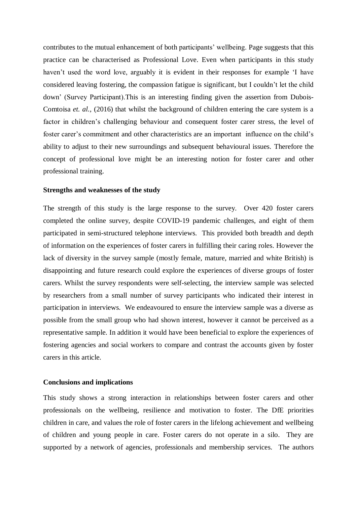contributes to the mutual enhancement of both participants' wellbeing. Page suggests that this practice can be characterised as Professional Love. Even when participants in this study haven't used the word love, arguably it is evident in their responses for example 'I have considered leaving fostering, the compassion fatigue is significant, but I couldn't let the child down' (Survey Participant).This is an interesting finding given the assertion from Dubois-Comtoisa *et. al.,* (2016) that whilst the background of children entering the care system is a factor in children's challenging behaviour and consequent foster carer stress, the level of foster carer's commitment and other characteristics are an important influence on the child's ability to adjust to their new surroundings and subsequent behavioural issues. Therefore the concept of professional love might be an interesting notion for foster carer and other professional training.

## **Strengths and weaknesses of the study**

The strength of this study is the large response to the survey. Over 420 foster carers completed the online survey, despite COVID-19 pandemic challenges, and eight of them participated in semi-structured telephone interviews. This provided both breadth and depth of information on the experiences of foster carers in fulfilling their caring roles. However the lack of diversity in the survey sample (mostly female, mature, married and white British) is disappointing and future research could explore the experiences of diverse groups of foster carers. Whilst the survey respondents were self-selecting, the interview sample was selected by researchers from a small number of survey participants who indicated their interest in participation in interviews. We endeavoured to ensure the interview sample was a diverse as possible from the small group who had shown interest, however it cannot be perceived as a representative sample. In addition it would have been beneficial to explore the experiences of fostering agencies and social workers to compare and contrast the accounts given by foster carers in this article.

## **Conclusions and implications**

This study shows a strong interaction in relationships between foster carers and other professionals on the wellbeing, resilience and motivation to foster. The DfE priorities children in care, and values the role of foster carers in the lifelong achievement and wellbeing of children and young people in care. Foster carers do not operate in a silo. They are supported by a network of agencies, professionals and membership services. The authors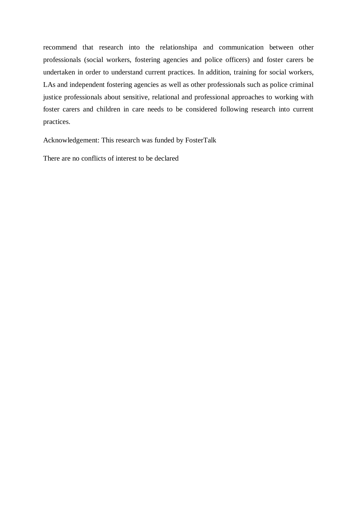recommend that research into the relationshipa and communication between other professionals (social workers, fostering agencies and police officers) and foster carers be undertaken in order to understand current practices. In addition, training for social workers, LAs and independent fostering agencies as well as other professionals such as police criminal justice professionals about sensitive, relational and professional approaches to working with foster carers and children in care needs to be considered following research into current practices.

Acknowledgement: This research was funded by FosterTalk

There are no conflicts of interest to be declared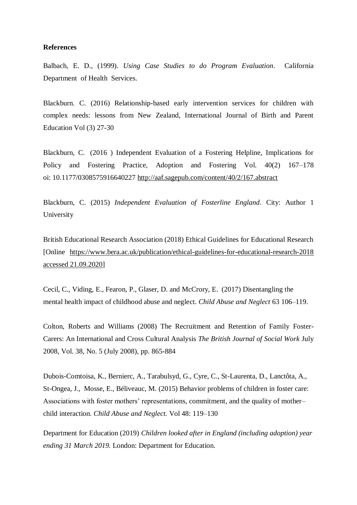#### **References**

Balbach, E. D., (1999). *Using Case Studies to do Program Evaluation*. California Department of Health Services.

Blackburn. C. (2016) Relationship-based early intervention services for children with complex needs: lessons from New Zealand, International Journal of Birth and Parent Education Vol (3) 27-30

Blackburn, C. (2016 ) Independent Evaluation of a Fostering Helpline, Implications for Policy and Fostering Practice, Adoption and Fostering Vol. 40(2) 167–178 oi: 10.1177/0308575916640227 <http://aaf.sagepub.com/content/40/2/167.abstract>

Blackburn, C. (2015) *Independent Evaluation of Fosterline England*. City: Author 1 University

British Educational Research Association (2018) Ethical Guidelines for Educational Research [Online [https://www.bera.ac.uk/publication/ethical-guidelines-for-educational-research-2018](https://www.bera.ac.uk/publication/ethical-guidelines-for-educational-research-2018%20accessed%2021.09.2020)  [accessed 21.09.2020\]](https://www.bera.ac.uk/publication/ethical-guidelines-for-educational-research-2018%20accessed%2021.09.2020)

Cecil, C., Viding, E., Fearon, P., Glaser, D. and McCrory, E. (2017) Disentangling the mental health impact of childhood abuse and neglect. *Child Abuse and Neglect* 63 106–119.

Colton, Roberts and Williams (2008) The Recruitment and Retention of Family Foster-Carers: An International and Cross Cultural Analysis *The British Journal of Social Work* July 2008, Vol. 38, No. 5 (July 2008), pp. 865-884

Dubois-Comtoisa, K., Bernierc, A., Tarabulsyd, G., Cyre, C., St-Laurenta, D., Lanctôta, A., St-Ongea, J., Mosse, E., Béliveauc, M. (2015) Behavior problems of children in foster care: Associations with foster mothers' representations, commitment, and the quality of mother– child interaction. *Child Abuse and Neglect.* Vol 48: 119–130

Department for Education (2019) *Children looked after in England (including adoption) year ending 31 March 2019.* London: Department for Education.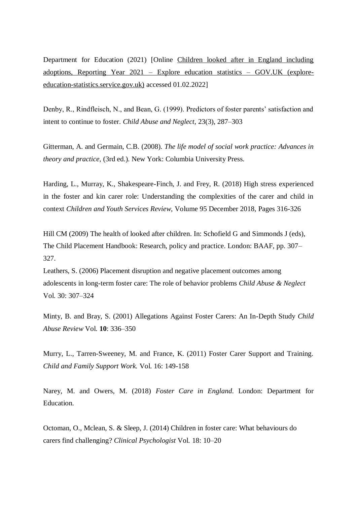Department for Education (2021) [Online [Children looked after in England including](https://explore-education-statistics.service.gov.uk/find-statistics/children-looked-after-in-england-including-adoptions/2021)  [adoptions, Reporting Year 2021 –](https://explore-education-statistics.service.gov.uk/find-statistics/children-looked-after-in-england-including-adoptions/2021) Explore education statistics – GOV.UK (explore[education-statistics.service.gov.uk\)](https://explore-education-statistics.service.gov.uk/find-statistics/children-looked-after-in-england-including-adoptions/2021) accessed 01.02.2022]

Denby, R., Rindfleisch, N., and Bean, G. (1999). Predictors of foster parents' satisfaction and intent to continue to foster. *Child Abuse and Neglect,* 23(3), 287–303

Gitterman, A. and Germain, C.B. (2008). *The life model of social work practice: Advances in theory and practice,* (3rd ed.). New York: Columbia University Press.

Harding, L., Murray, K., Shakespeare-Finch, J. and Frey, R. (2018) High stress experienced in the foster and kin carer role: Understanding the complexities of the carer and child in context *Children and Youth Services Review*, Volume 95 December 2018, Pages 316-326

Hill CM (2009) The health of looked after children. In: Schofield G and Simmonds J (eds), The Child Placement Handbook: Research, policy and practice. London: BAAF, pp. 307– 327.

Leathers, S. (2006) Placement disruption and negative placement outcomes among adolescents in long-term foster care: The role of behavior problems *Child Abuse & Neglect* Vol. 30: 307–324

Minty, B. and Bray, S. (2001) Allegations Against Foster Carers: An In-Depth Study *Child Abuse Review* Vol. **10**: 336–350

Murry, L., Tarren-Sweeney, M. and France, K. (2011) Foster Carer Support and Training. *Child and Family Support Work.* Vol. 16: 149-158

Narey, M. and Owers, M. (2018) *Foster Care in England*. London: Department for Education.

Octoman, O., Mclean, S. & Sleep, J. (2014) Children in foster care: What behaviours do carers find challenging? *Clinical Psychologist* Vol. 18: 10–20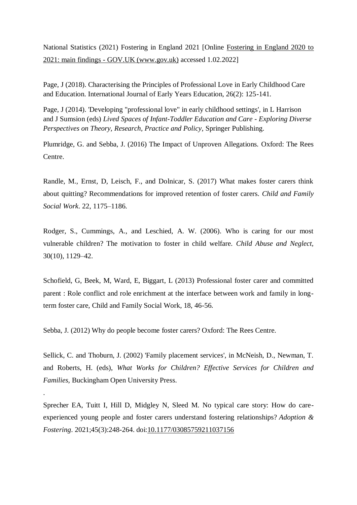National Statistics (2021) Fostering in England 2021 [Online [Fostering in England 2020 to](https://www.gov.uk/government/statistics/fostering-in-england-1-april-2020-to-31-march-2021/fostering-in-england-2020-to-2021-main-findings)  2021: main findings - [GOV.UK \(www.gov.uk\)](https://www.gov.uk/government/statistics/fostering-in-england-1-april-2020-to-31-march-2021/fostering-in-england-2020-to-2021-main-findings) accessed 1.02.2022]

Page, J (2018). Characterising the Principles of Professional Love in Early Childhood Care and Education. International Journal of Early Years Education, 26(2): 125-141.

Page, J (2014). 'Developing "professional love" in early childhood settings', in L Harrison and J Sumsion (eds) *Lived Spaces of Infant-Toddler Education and Care - Exploring Diverse Perspectives on Theory, Research, Practice and Policy*, Springer Publishing.

Plumridge, G. and Sebba, J. (2016) The Impact of Unproven Allegations. Oxford: The Rees Centre.

Randle, M., Ernst, D, Leisch, F., and Dolnicar, S. (2017) What makes foster carers think about quitting? Recommendations for improved retention of foster carers. *Child and Family Social Work*. 22, 1175–1186.

Rodger, S., Cummings, A., and Leschied, A. W. (2006). Who is caring for our most vulnerable children? The motivation to foster in child welfare. *Child Abuse and Neglect,*  30(10), 1129–42.

Schofield, G, Beek, M, Ward, E, Biggart, L (2013) Professional foster carer and committed parent : Role conflict and role enrichment at the interface between work and family in longterm foster care, Child and Family Social Work, 18, 46-56.

Sebba, J. (2012) Why do people become foster carers? Oxford: The Rees Centre.

.

Sellick, C. and Thoburn, J. (2002) 'Family placement services', in McNeish, D., Newman, T. and Roberts, H. (eds), *What Works for Children? Effective Services for Children and Families,* Buckingham Open University Press.

Sprecher EA, Tuitt I, Hill D, Midgley N, Sleed M. No typical care story: How do careexperienced young people and foster carers understand fostering relationships? *Adoption & Fostering*. 2021;45(3):248-264. doi[:10.1177/03085759211037156](https://doi.org/10.1177/03085759211037156)